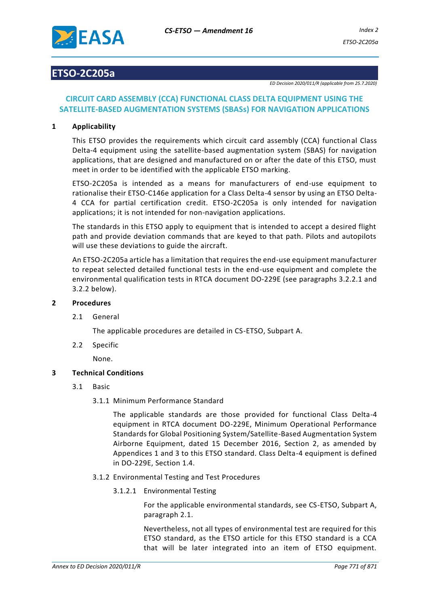

# **ETSO-2C205a**

*ED Decision 2020/011/R (applicable from 25.7.2020)*

# **CIRCUIT CARD ASSEMBLY (CCA) FUNCTIONAL CLASS DELTA EQUIPMENT USING THE SATELLITE-BASED AUGMENTATION SYSTEMS (SBASs) FOR NAVIGATION APPLICATIONS**

# **1 Applicability**

This ETSO provides the requirements which circuit card assembly (CCA) functional Class Delta-4 equipment using the satellite-based augmentation system (SBAS) for navigation applications, that are designed and manufactured on or after the date of this ETSO, must meet in order to be identified with the applicable ETSO marking.

ETSO-2C205a is intended as a means for manufacturers of end-use equipment to rationalise their ETSO-C146e application for a Class Delta-4 sensor by using an ETSO Delta-4 CCA for partial certification credit. ETSO-2C205a is only intended for navigation applications; it is not intended for non-navigation applications.

The standards in this ETSO apply to equipment that is intended to accept a desired flight path and provide deviation commands that are keyed to that path. Pilots and autopilots will use these deviations to guide the aircraft.

An ETSO-2C205a article has a limitation that requires the end-use equipment manufacturer to repeat selected detailed functional tests in the end-use equipment and complete the environmental qualification tests in RTCA document DO-229E (see paragraphs 3.2.2.1 and 3.2.2 below).

#### **2 Procedures**

#### 2.1 General

The applicable procedures are detailed in CS-ETSO, Subpart A.

2.2 Specific

None.

## **3 Technical Conditions**

- 3.1 Basic
	- 3.1.1 Minimum Performance Standard

The applicable standards are those provided for functional Class Delta-4 equipment in RTCA document DO-229E, Minimum Operational Performance Standards for Global Positioning System/Satellite-Based Augmentation System Airborne Equipment, dated 15 December 2016, Section 2, as amended by Appendices 1 and 3 to this ETSO standard. Class Delta-4 equipment is defined in DO-229E, Section 1.4.

- 3.1.2 Environmental Testing and Test Procedures
	- 3.1.2.1 Environmental Testing

For the applicable environmental standards, see CS-ETSO, Subpart A, paragraph 2.1.

Nevertheless, not all types of environmental test are required for this ETSO standard, as the ETSO article for this ETSO standard is a CCA that will be later integrated into an item of ETSO equipment.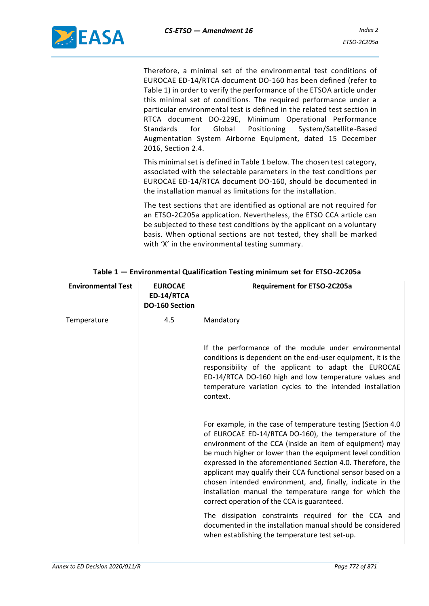

Therefore, a minimal set of the environmental test conditions of EUROCAE ED-14/RTCA document DO-160 has been defined (refer to Table 1) in order to verify the performance of the ETSOA article under this minimal set of conditions. The required performance under a particular environmental test is defined in the related test section in RTCA document DO-229E, Minimum Operational Performance Standards for Global Positioning System/Satellite-Based Augmentation System Airborne Equipment, dated 15 December 2016, Section 2.4.

This minimal set is defined in Table 1 below. The chosen test category, associated with the selectable parameters in the test conditions per EUROCAE ED-14/RTCA document DO-160, should be documented in the installation manual as limitations for the installation.

The test sections that are identified as optional are not required for an ETSO-2C205a application. Nevertheless, the ETSO CCA article can be subjected to these test conditions by the applicant on a voluntary basis. When optional sections are not tested, they shall be marked with 'X' in the environmental testing summary.

| <b>Environmental Test</b> | <b>EUROCAE</b><br>ED-14/RTCA<br>DO-160 Section | <b>Requirement for ETSO-2C205a</b>                                                                                                                                                                                                                                                                                                                                                                                                                                                                                                                     |
|---------------------------|------------------------------------------------|--------------------------------------------------------------------------------------------------------------------------------------------------------------------------------------------------------------------------------------------------------------------------------------------------------------------------------------------------------------------------------------------------------------------------------------------------------------------------------------------------------------------------------------------------------|
| Temperature               | 4.5                                            | Mandatory                                                                                                                                                                                                                                                                                                                                                                                                                                                                                                                                              |
|                           |                                                | If the performance of the module under environmental<br>conditions is dependent on the end-user equipment, it is the<br>responsibility of the applicant to adapt the EUROCAE<br>ED-14/RTCA DO-160 high and low temperature values and<br>temperature variation cycles to the intended installation<br>context.                                                                                                                                                                                                                                         |
|                           |                                                | For example, in the case of temperature testing (Section 4.0<br>of EUROCAE ED-14/RTCA DO-160), the temperature of the<br>environment of the CCA (inside an item of equipment) may<br>be much higher or lower than the equipment level condition<br>expressed in the aforementioned Section 4.0. Therefore, the<br>applicant may qualify their CCA functional sensor based on a<br>chosen intended environment, and, finally, indicate in the<br>installation manual the temperature range for which the<br>correct operation of the CCA is guaranteed. |
|                           |                                                | The dissipation constraints required for the CCA and<br>documented in the installation manual should be considered<br>when establishing the temperature test set-up.                                                                                                                                                                                                                                                                                                                                                                                   |

**Table 1 — Environmental Qualification Testing minimum set for ETSO-2C205a**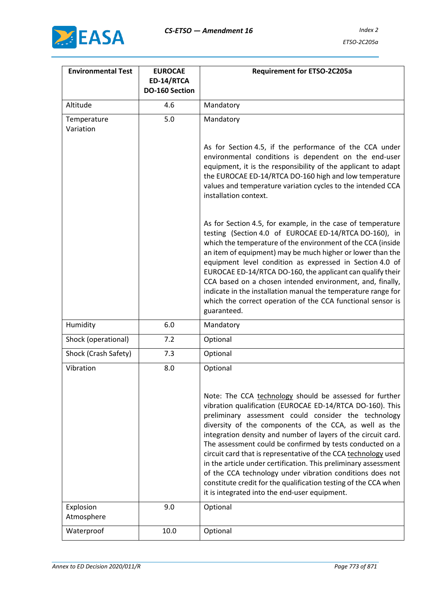

| <b>Environmental Test</b> | <b>EUROCAE</b><br>ED-14/RTCA<br>DO-160 Section | <b>Requirement for ETSO-2C205a</b>                                                                                                                                                                                                                                                                                                                                                                                                                                                                                                                                                                                                                                                         |
|---------------------------|------------------------------------------------|--------------------------------------------------------------------------------------------------------------------------------------------------------------------------------------------------------------------------------------------------------------------------------------------------------------------------------------------------------------------------------------------------------------------------------------------------------------------------------------------------------------------------------------------------------------------------------------------------------------------------------------------------------------------------------------------|
| Altitude                  | 4.6                                            | Mandatory                                                                                                                                                                                                                                                                                                                                                                                                                                                                                                                                                                                                                                                                                  |
| Temperature<br>Variation  | 5.0                                            | Mandatory                                                                                                                                                                                                                                                                                                                                                                                                                                                                                                                                                                                                                                                                                  |
|                           |                                                | As for Section 4.5, if the performance of the CCA under<br>environmental conditions is dependent on the end-user<br>equipment, it is the responsibility of the applicant to adapt<br>the EUROCAE ED-14/RTCA DO-160 high and low temperature<br>values and temperature variation cycles to the intended CCA<br>installation context.                                                                                                                                                                                                                                                                                                                                                        |
|                           |                                                | As for Section 4.5, for example, in the case of temperature<br>testing (Section 4.0 of EUROCAE ED-14/RTCA DO-160), in<br>which the temperature of the environment of the CCA (inside<br>an item of equipment) may be much higher or lower than the<br>equipment level condition as expressed in Section 4.0 of<br>EUROCAE ED-14/RTCA DO-160, the applicant can qualify their<br>CCA based on a chosen intended environment, and, finally,<br>indicate in the installation manual the temperature range for<br>which the correct operation of the CCA functional sensor is<br>guaranteed.                                                                                                   |
| Humidity                  | 6.0                                            | Mandatory                                                                                                                                                                                                                                                                                                                                                                                                                                                                                                                                                                                                                                                                                  |
| Shock (operational)       | 7.2                                            | Optional                                                                                                                                                                                                                                                                                                                                                                                                                                                                                                                                                                                                                                                                                   |
| Shock (Crash Safety)      | 7.3                                            | Optional                                                                                                                                                                                                                                                                                                                                                                                                                                                                                                                                                                                                                                                                                   |
| Vibration                 | 8.0                                            | Optional                                                                                                                                                                                                                                                                                                                                                                                                                                                                                                                                                                                                                                                                                   |
|                           |                                                | Note: The CCA technology should be assessed for further<br>vibration qualification (EUROCAE ED-14/RTCA DO-160). This<br>preliminary assessment could consider the technology<br>diversity of the components of the CCA, as well as the<br>integration density and number of layers of the circuit card.<br>The assessment could be confirmed by tests conducted on a<br>circuit card that is representative of the CCA technology used<br>in the article under certification. This preliminary assessment<br>of the CCA technology under vibration conditions does not<br>constitute credit for the qualification testing of the CCA when<br>it is integrated into the end-user equipment. |
| Explosion<br>Atmosphere   | 9.0                                            | Optional                                                                                                                                                                                                                                                                                                                                                                                                                                                                                                                                                                                                                                                                                   |
| Waterproof                | 10.0                                           | Optional                                                                                                                                                                                                                                                                                                                                                                                                                                                                                                                                                                                                                                                                                   |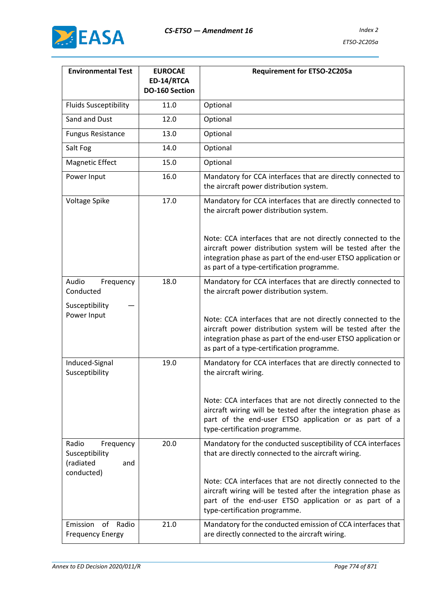

| <b>Environmental Test</b>                                              | <b>EUROCAE</b><br>ED-14/RTCA<br><b>DO-160 Section</b> | <b>Requirement for ETSO-2C205a</b>                                                                                                                                                                                                        |
|------------------------------------------------------------------------|-------------------------------------------------------|-------------------------------------------------------------------------------------------------------------------------------------------------------------------------------------------------------------------------------------------|
| <b>Fluids Susceptibility</b>                                           | 11.0                                                  | Optional                                                                                                                                                                                                                                  |
| Sand and Dust                                                          | 12.0                                                  | Optional                                                                                                                                                                                                                                  |
| <b>Fungus Resistance</b>                                               | 13.0                                                  | Optional                                                                                                                                                                                                                                  |
| Salt Fog                                                               | 14.0                                                  | Optional                                                                                                                                                                                                                                  |
| <b>Magnetic Effect</b>                                                 | 15.0                                                  | Optional                                                                                                                                                                                                                                  |
| Power Input                                                            | 16.0                                                  | Mandatory for CCA interfaces that are directly connected to<br>the aircraft power distribution system.                                                                                                                                    |
| Voltage Spike                                                          | 17.0                                                  | Mandatory for CCA interfaces that are directly connected to<br>the aircraft power distribution system.                                                                                                                                    |
|                                                                        |                                                       | Note: CCA interfaces that are not directly connected to the<br>aircraft power distribution system will be tested after the<br>integration phase as part of the end-user ETSO application or<br>as part of a type-certification programme. |
| Audio<br>Frequency<br>Conducted<br>Susceptibility                      | 18.0                                                  | Mandatory for CCA interfaces that are directly connected to<br>the aircraft power distribution system.                                                                                                                                    |
| Power Input                                                            |                                                       | Note: CCA interfaces that are not directly connected to the<br>aircraft power distribution system will be tested after the<br>integration phase as part of the end-user ETSO application or<br>as part of a type-certification programme. |
| Induced-Signal<br>Susceptibility                                       | 19.0                                                  | Mandatory for CCA interfaces that are directly connected to<br>the aircraft wiring.                                                                                                                                                       |
|                                                                        |                                                       | Note: CCA interfaces that are not directly connected to the<br>aircraft wiring will be tested after the integration phase as<br>part of the end-user ETSO application or as part of a<br>type-certification programme.                    |
| Radio<br>Frequency<br>Susceptibility<br>(radiated<br>and<br>conducted) | 20.0                                                  | Mandatory for the conducted susceptibility of CCA interfaces<br>that are directly connected to the aircraft wiring.                                                                                                                       |
|                                                                        |                                                       | Note: CCA interfaces that are not directly connected to the<br>aircraft wiring will be tested after the integration phase as<br>part of the end-user ETSO application or as part of a<br>type-certification programme.                    |
| Emission<br>of<br>Radio<br><b>Frequency Energy</b>                     | 21.0                                                  | Mandatory for the conducted emission of CCA interfaces that<br>are directly connected to the aircraft wiring.                                                                                                                             |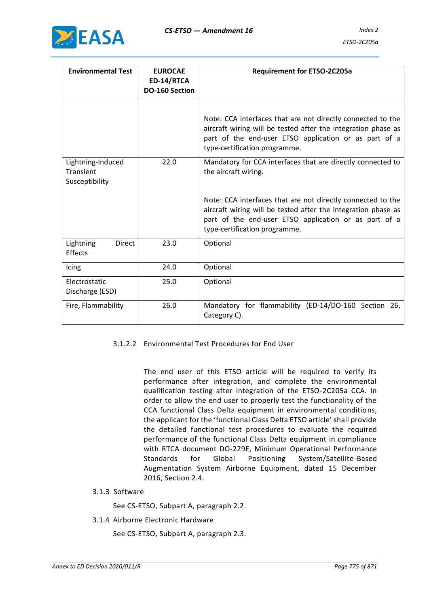

| <b>Environmental Test</b>                        | <b>EUROCAE</b><br>ED-14/RTCA<br><b>DO-160 Section</b> | <b>Requirement for ETSO-2C205a</b>                                                                                                                                                                                     |
|--------------------------------------------------|-------------------------------------------------------|------------------------------------------------------------------------------------------------------------------------------------------------------------------------------------------------------------------------|
|                                                  |                                                       | Note: CCA interfaces that are not directly connected to the<br>aircraft wiring will be tested after the integration phase as<br>part of the end-user ETSO application or as part of a<br>type-certification programme. |
| Lightning-Induced<br>Transient<br>Susceptibility | 22.0                                                  | Mandatory for CCA interfaces that are directly connected to<br>the aircraft wiring.                                                                                                                                    |
|                                                  |                                                       | Note: CCA interfaces that are not directly connected to the<br>aircraft wiring will be tested after the integration phase as<br>part of the end-user ETSO application or as part of a<br>type-certification programme. |
| Lightning<br>Direct<br>Effects                   | 23.0                                                  | Optional                                                                                                                                                                                                               |
| Icing                                            | 24.0                                                  | Optional                                                                                                                                                                                                               |
| Electrostatic<br>Discharge (ESD)                 | 25.0                                                  | Optional                                                                                                                                                                                                               |
| Fire, Flammability                               | 26.0                                                  | Mandatory for flammability (ED-14/DO-160 Section 26,<br>Category C).                                                                                                                                                   |

## 3.1.2.2 Environmental Test Procedures for End User

The end user of this ETSO article will be required to verify its performance after integration, and complete the environmental qualification testing after integration of the ETSO-2C205a CCA. In order to allow the end user to properly test the functionality of the CCA functional Class Delta equipment in environmental conditions, the applicant for the 'functional Class Delta ETSO article' shall provide the detailed functional test procedures to evaluate the required performance of the functional Class Delta equipment in compliance with RTCA document DO-229E, Minimum Operational Performance Standards for Global Positioning System/Satellite-Based Augmentation System Airborne Equipment, dated 15 December 2016, Section 2.4.

3.1.3 Software

See CS-ETSO, Subpart A, paragraph 2.2.

3.1.4 Airborne Electronic Hardware

See CS-ETSO, Subpart A, paragraph 2.3.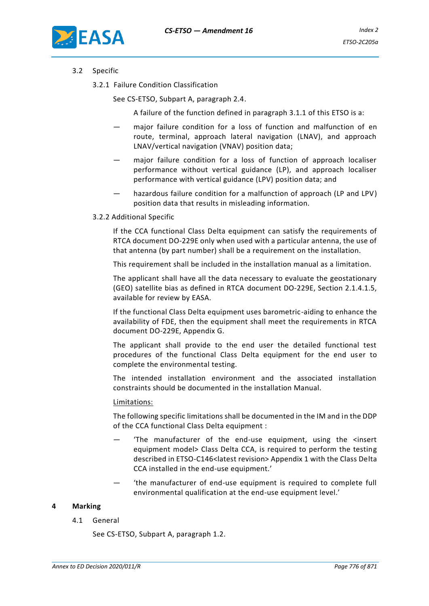

## 3.2 Specific

3.2.1 Failure Condition Classification

See CS-ETSO, Subpart A, paragraph 2.4.

A failure of the function defined in paragraph 3.1.1 of this ETSO is a:

- major failure condition for a loss of function and malfunction of en route, terminal, approach lateral navigation (LNAV), and approach LNAV/vertical navigation (VNAV) position data;
- major failure condition for a loss of function of approach localiser performance without vertical guidance (LP), and approach localiser performance with vertical guidance (LPV) position data; and
- hazardous failure condition for a malfunction of approach (LP and LPV) position data that results in misleading information.
- 3.2.2 Additional Specific

If the CCA functional Class Delta equipment can satisfy the requirements of RTCA document DO-229E only when used with a particular antenna, the use of that antenna (by part number) shall be a requirement on the installation.

This requirement shall be included in the installation manual as a limitation.

The applicant shall have all the data necessary to evaluate the geostationary (GEO) satellite bias as defined in RTCA document DO-229E, Section 2.1.4.1.5, available for review by EASA.

If the functional Class Delta equipment uses barometric-aiding to enhance the availability of FDE, then the equipment shall meet the requirements in RTCA document DO-229E, Appendix G.

The applicant shall provide to the end user the detailed functional test procedures of the functional Class Delta equipment for the end user to complete the environmental testing.

The intended installation environment and the associated installation constraints should be documented in the installation Manual.

#### Limitations:

The following specific limitations shall be documented in the IM and in the DDP of the CCA functional Class Delta equipment :

- 'The manufacturer of the end-use equipment, using the <insert equipment model> Class Delta CCA, is required to perform the testing described in ETSO-C146<latest revision> Appendix 1 with the Class Delta CCA installed in the end-use equipment.'
- the manufacturer of end-use equipment is required to complete full environmental qualification at the end-use equipment level.'

#### **4 Marking**

4.1 General

See CS-ETSO, Subpart A, paragraph 1.2.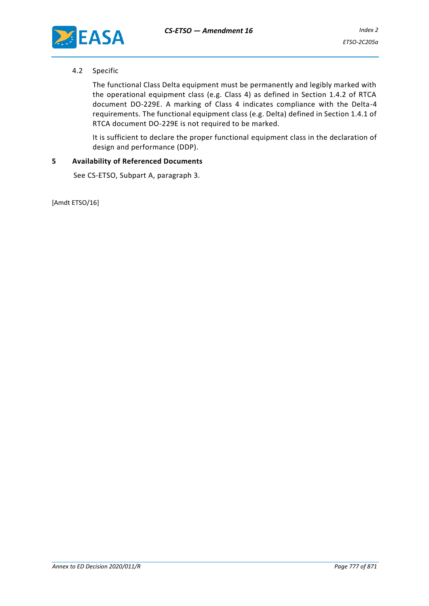

### 4.2 Specific

The functional Class Delta equipment must be permanently and legibly marked with the operational equipment class (e.g. Class 4) as defined in Section 1.4.2 of RTCA document DO-229E. A marking of Class 4 indicates compliance with the Delta-4 requirements. The functional equipment class (e.g. Delta) defined in Section 1.4.1 of RTCA document DO-229E is not required to be marked.

It is sufficient to declare the proper functional equipment class in the declaration of design and performance (DDP).

#### **5 Availability of Referenced Documents**

See CS-ETSO, Subpart A, paragraph 3.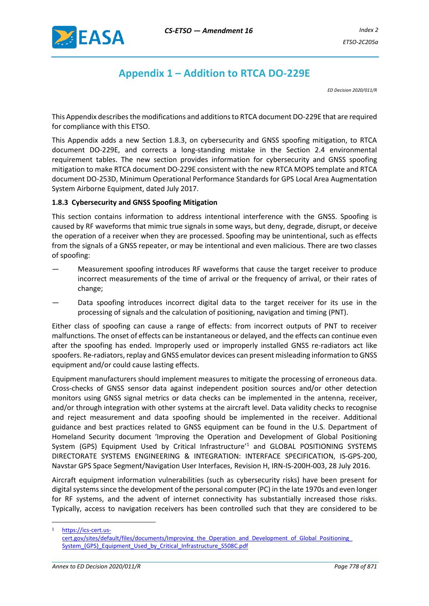

# **Appendix 1 – Addition to RTCA DO-229E**

*ED Decision 2020/011/R*

This Appendix describes the modifications and additions to RTCA document DO-229E that are required for compliance with this ETSO.

This Appendix adds a new Section 1.8.3, on cybersecurity and GNSS spoofing mitigation, to RTCA document DO-229E, and corrects a long-standing mistake in the Section 2.4 environmental requirement tables. The new section provides information for cybersecurity and GNSS spoofing mitigation to make RTCA document DO-229E consistent with the new RTCA MOPS template and RTCA document DO-253D, Minimum Operational Performance Standards for GPS Local Area Augmentation System Airborne Equipment, dated July 2017.

### **1.8.3 Cybersecurity and GNSS Spoofing Mitigation**

This section contains information to address intentional interference with the GNSS. Spoofing is caused by RF waveforms that mimic true signals in some ways, but deny, degrade, disrupt, or deceive the operation of a receiver when they are processed. Spoofing may be unintentional, such as effects from the signals of a GNSS repeater, or may be intentional and even malicious. There are two classes of spoofing:

- Measurement spoofing introduces RF waveforms that cause the target receiver to produce incorrect measurements of the time of arrival or the frequency of arrival, or their rates of change;
- Data spoofing introduces incorrect digital data to the target receiver for its use in the processing of signals and the calculation of positioning, navigation and timing (PNT).

Either class of spoofing can cause a range of effects: from incorrect outputs of PNT to receiver malfunctions. The onset of effects can be instantaneous or delayed, and the effects can continue even after the spoofing has ended. Improperly used or improperly installed GNSS re-radiators act like spoofers. Re-radiators, replay and GNSS emulator devices can present misleading information to GNSS equipment and/or could cause lasting effects.

Equipment manufacturers should implement measures to mitigate the processing of erroneous data. Cross-checks of GNSS sensor data against independent position sources and/or other detection monitors using GNSS signal metrics or data checks can be implemented in the antenna, receiver, and/or through integration with other systems at the aircraft level. Data validity checks to recognise and reject measurement and data spoofing should be implemented in the receiver. Additional guidance and best practices related to GNSS equipment can be found in the U.S. Department of Homeland Security document 'Improving the Operation and Development of Global Positioning System (GPS) Equipment Used by Critical Infrastructure'<sup>1</sup> and GLOBAL POSITIONING SYSTEMS DIRECTORATE SYSTEMS ENGINEERING & INTEGRATION: INTERFACE SPECIFICATION, IS-GPS-200, Navstar GPS Space Segment/Navigation User Interfaces, Revision H, IRN-IS-200H-003, 28 July 2016.

Aircraft equipment information vulnerabilities (such as cybersecurity risks) have been present for digital systems since the development of the personal computer (PC) in the late 1970s and even longer for RF systems, and the advent of internet connectivity has substantially increased those risks. Typically, access to navigation receivers has been controlled such that they are considered to be

[https://ics-cert.us-](https://ics-cert.us-cert.gov/sites/default/files/documents/Improving_the_Operation_and_Development_of_Global_Positioning_%20System_(GPS)_Equipment_Used_by_Critical_Infrastructure_S508C.pdf)

cert.gov/sites/default/files/documents/Improving\_the\_Operation\_and\_Development\_of\_Global\_Positioning [System\\_\(GPS\)\\_Equipment\\_Used\\_by\\_Critical\\_Infrastructure\\_S508C.pdf](https://ics-cert.us-cert.gov/sites/default/files/documents/Improving_the_Operation_and_Development_of_Global_Positioning_%20System_(GPS)_Equipment_Used_by_Critical_Infrastructure_S508C.pdf)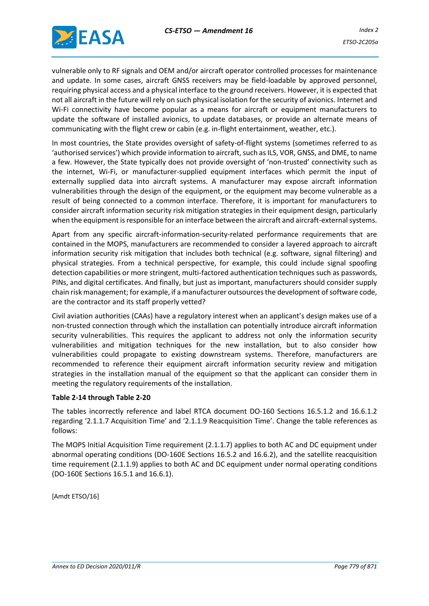

vulnerable only to RF signals and OEM and/or aircraft operator controlled processes for maintenance and update. In some cases, aircraft GNSS receivers may be field-loadable by approved personnel, requiring physical access and a physical interface to the ground receivers. However, it is expected that not all aircraft in the future will rely on such physical isolation for the security of avionics. Internet and Wi-Fi connectivity have become popular as a means for aircraft or equipment manufacturers to update the software of installed avionics, to update databases, or provide an alternate means of communicating with the flight crew or cabin (e.g. in-flight entertainment, weather, etc.).

In most countries, the State provides oversight of safety-of-flight systems (sometimes referred to as 'authorised services') which provide information to aircraft, such as ILS, VOR, GNSS, and DME, to name a few. However, the State typically does not provide oversight of 'non-trusted' connectivity such as the internet, Wi-Fi, or manufacturer-supplied equipment interfaces which permit the input of externally supplied data into aircraft systems. A manufacturer may expose aircraft information vulnerabilities through the design of the equipment, or the equipment may become vulnerable as a result of being connected to a common interface. Therefore, it is important for manufacturers to consider aircraft information security risk mitigation strategies in their equipment design, particularly when the equipment is responsible for an interface between the aircraft and aircraft-external systems.

Apart from any specific aircraft-information-security-related performance requirements that are contained in the MOPS, manufacturers are recommended to consider a layered approach to aircraft information security risk mitigation that includes both technical (e.g. software, signal filtering) and physical strategies. From a technical perspective, for example, this could include signal spoofing detection capabilities or more stringent, multi-factored authentication techniques such as passwords, PINs, and digital certificates. And finally, but just as important, manufacturers should consider supply chain risk management; for example, if a manufacturer outsources the development of software code, are the contractor and its staff properly vetted?

Civil aviation authorities (CAAs) have a regulatory interest when an applicant's design makes use of a non-trusted connection through which the installation can potentially introduce aircraft information security vulnerabilities. This requires the applicant to address not only the information security vulnerabilities and mitigation techniques for the new installation, but to also consider how vulnerabilities could propagate to existing downstream systems. Therefore, manufacturers are recommended to reference their equipment aircraft information security review and mitigation strategies in the installation manual of the equipment so that the applicant can consider them in meeting the regulatory requirements of the installation.

#### **Table 2-14 through Table 2-20**

The tables incorrectly reference and label RTCA document DO-160 Sections 16.5.1.2 and 16.6.1.2 regarding '2.1.1.7 Acquisition Time' and '2.1.1.9 Reacquisition Time'. Change the table references as follows:

The MOPS Initial Acquisition Time requirement (2.1.1.7) applies to both AC and DC equipment under abnormal operating conditions (DO-160E Sections 16.5.2 and 16.6.2), and the satellite reacquisition time requirement (2.1.1.9) applies to both AC and DC equipment under normal operating conditions (DO-160E Sections 16.5.1 and 16.6.1).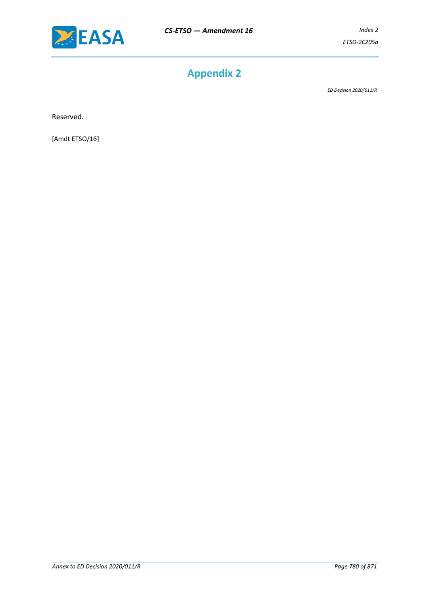

# **Appendix 2**

*ED Decision 2020/011/R*

Reserved.